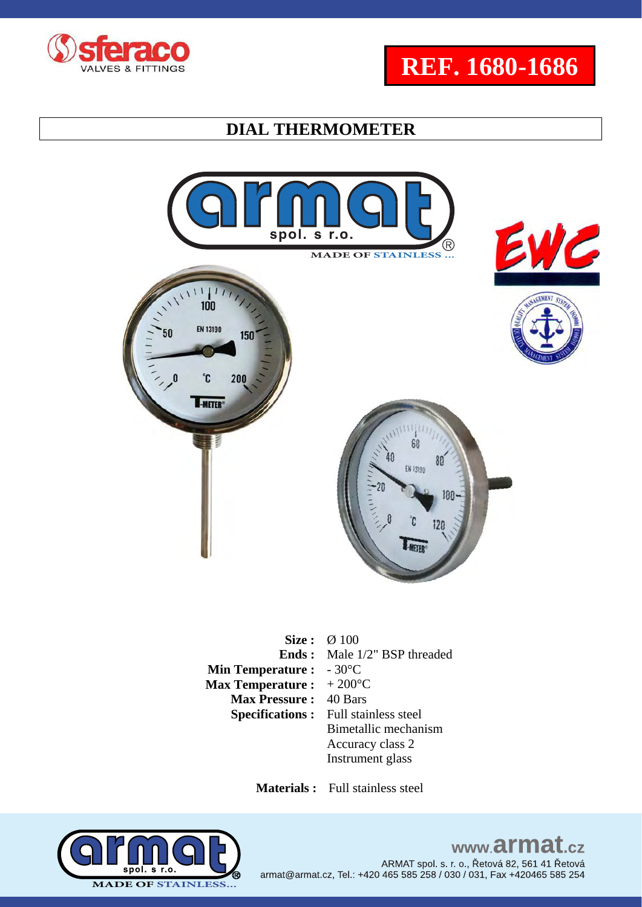





**Size :**  $\varnothing$  100 **Ends : Min Temperature : Max Temperature :**  Male 1/2" BSP threaded - 30°C  $+200^{\circ}$ C **Max Pressure :** 40 Bars<br>**Specifications :** Full stainless steel **Specifications :** Bimetallic mechanism Accuracy class 2 Instrument glass

 **Materials :** Full stainless steel

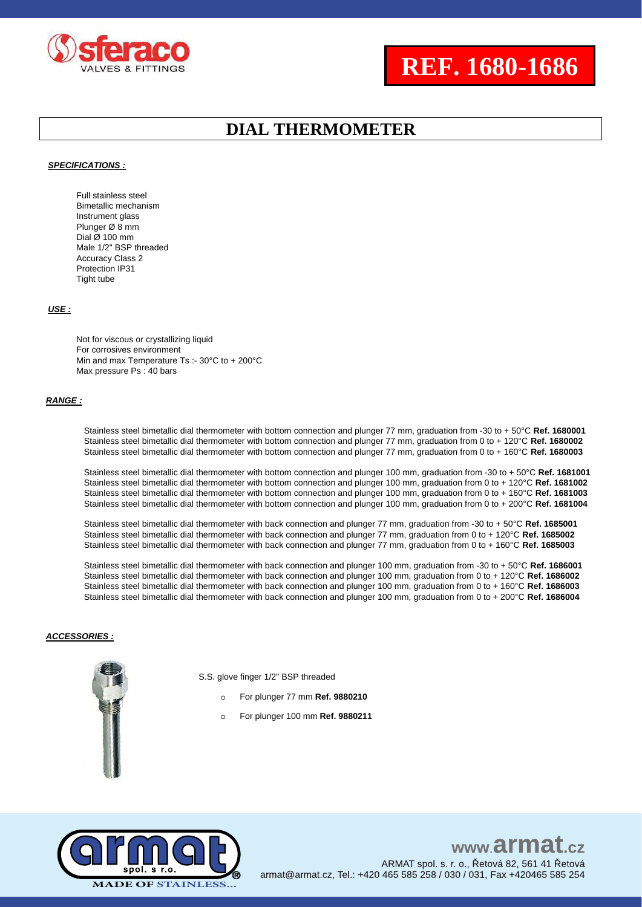

# **REF. 1680-1686**

### **DIAL THERMOMETER**

#### *SPECIFICATIONS :*

Full stainless steel Bimetallic mechanism Instrument glass Plunger Ø 8 mm Dial Ø 100 mm Male 1/2" BSP threaded Accuracy Class 2 Protection IP31 Tight tube

#### *USE :*

Not for viscous or crystallizing liquid For corrosives environment Min and max Temperature Ts :- 30°C to + 200°C Max pressure Ps : 40 bars

#### *RANGE :*

Stainless steel bimetallic dial thermometer with bottom connection and plunger 77 mm, graduation from -30 to + 50°C **Ref. 1680001** Stainless steel bimetallic dial thermometer with bottom connection and plunger 77 mm, graduation from 0 to + 120°C **Ref. 1680002** Stainless steel bimetallic dial thermometer with bottom connection and plunger 77 mm, graduation from 0 to + 160°C **Ref. 1680003**

Stainless steel bimetallic dial thermometer with bottom connection and plunger 100 mm, graduation from -30 to + 50°C **Ref. 1681001** Stainless steel bimetallic dial thermometer with bottom connection and plunger 100 mm, graduation from 0 to + 120°C **Ref. 1681002** Stainless steel bimetallic dial thermometer with bottom connection and plunger 100 mm, graduation from 0 to + 160°C **Ref. 1681003** Stainless steel bimetallic dial thermometer with bottom connection and plunger 100 mm, graduation from 0 to + 200°C **Ref. 1681004**

Stainless steel bimetallic dial thermometer with back connection and plunger 77 mm, graduation from -30 to + 50°C **Ref. 1685001** Stainless steel bimetallic dial thermometer with back connection and plunger 77 mm, graduation from 0 to + 120°C **Ref. 1685002** Stainless steel bimetallic dial thermometer with back connection and plunger 77 mm, graduation from 0 to + 160°C **Ref. 1685003**

Stainless steel bimetallic dial thermometer with back connection and plunger 100 mm, graduation from -30 to + 50°C **Ref. 1686001** Stainless steel bimetallic dial thermometer with back connection and plunger 100 mm, graduation from 0 to + 120°C **Ref. 1686002** Stainless steel bimetallic dial thermometer with back connection and plunger 100 mm, graduation from 0 to + 160°C **Ref. 1686003** Stainless steel bimetallic dial thermometer with back connection and plunger 100 mm, graduation from 0 to + 200°C **Ref. 1686004**

#### *ACCESSORIES :*



S.S. glove finger 1/2" BSP threaded

- o For plunger 77 mm **Ref. 9880210**
- o For plunger 100 mm **Ref. 9880211**

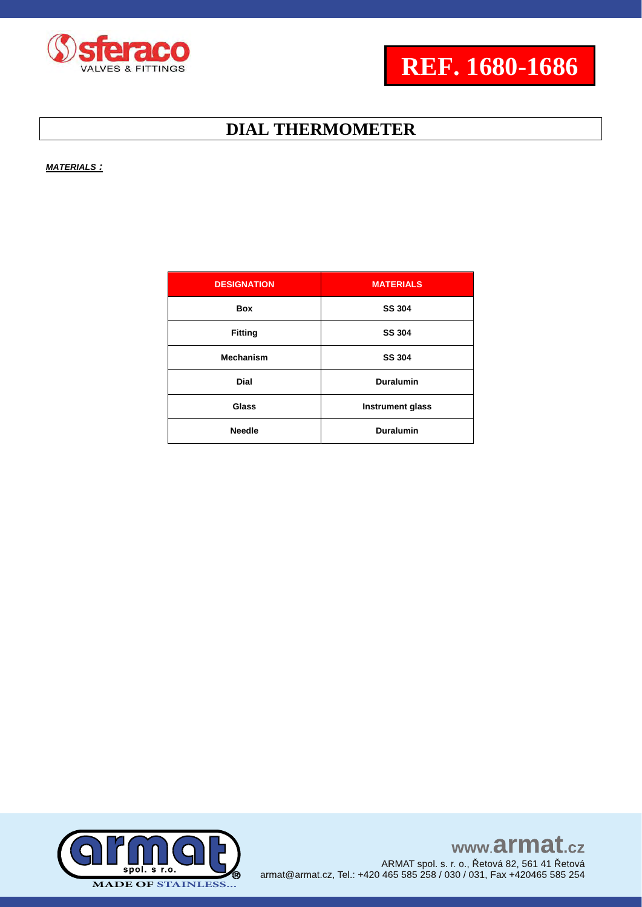

*MATERIALS :*

| <b>DESIGNATION</b> | <b>MATERIALS</b>        |
|--------------------|-------------------------|
| <b>Box</b>         | <b>SS 304</b>           |
| <b>Fitting</b>     | <b>SS 304</b>           |
| <b>Mechanism</b>   | <b>SS 304</b>           |
| <b>Dial</b>        | <b>Duralumin</b>        |
| Glass              | <b>Instrument glass</b> |
| <b>Needle</b>      | <b>Duralumin</b>        |

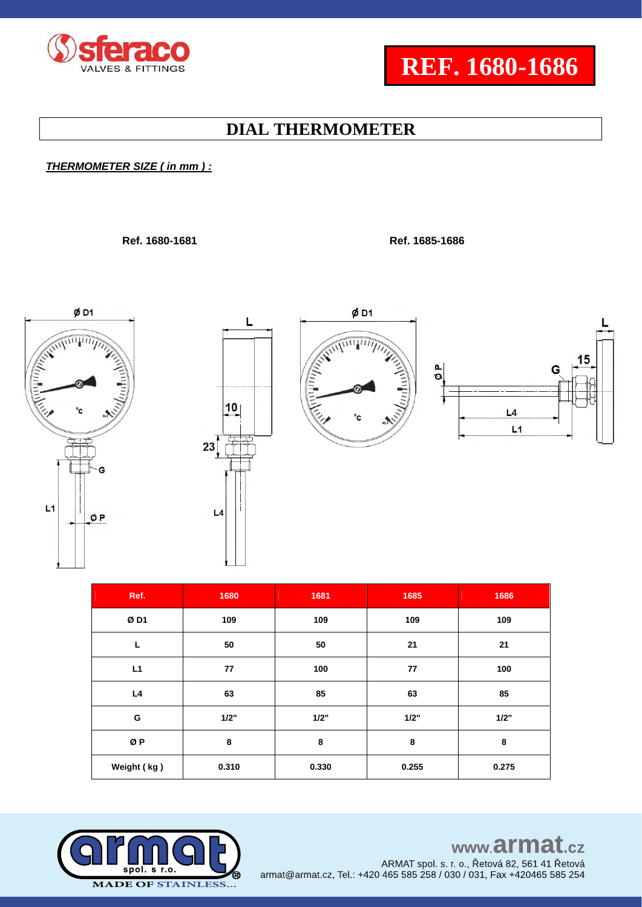

### *THERMOMETER SIZE ( in mm ) :*

 **Ref. 1680-1681 Ref. 1685-1686**







 $ØD1$ 



| Ref.        | 1680  | 1681  | 1685  | 1686  |
|-------------|-------|-------|-------|-------|
| ØD1         | 109   | 109   | 109   | 109   |
| L           | 50    | 50    | 21    | 21    |
| L1          | 77    | 100   | 77    | 100   |
| L4          | 63    | 85    | 63    | 85    |
| G           | 1/2"  | 1/2"  | 1/2"  | 1/2"  |
| ØP          | 8     | 8     | 8     | 8     |
| Weight (kg) | 0.310 | 0.330 | 0.255 | 0.275 |



### www.armat.cz ARMAT spol. s. r. o., Řetová 82, 561 41 Řetová

armat@armat.cz, Tel.: +420 465 585 258 / 030 / 031, Fax +420465 585 254